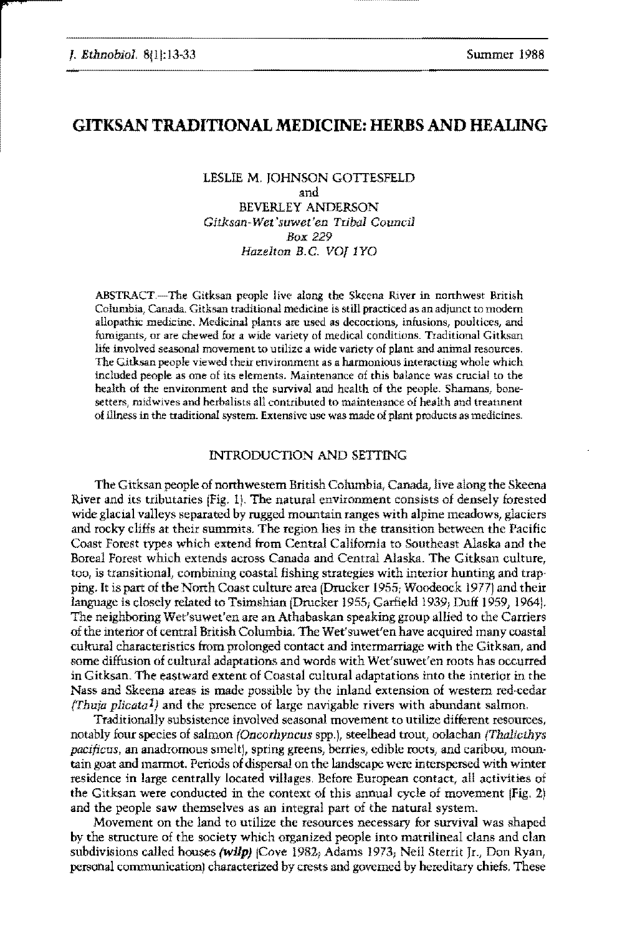# GITKSAN TRADITIONAL MEDICINE: HERBS AND HEALING

LESLIE M. JOHNSON GOITESFELD and BEVERLEY ANDERSON *Gitksan-Wet'suwet'en Tribal Council Box 229*

*Hazelton B.C. VOTIYO*

ABSTRACT.-The Gitksan people live along the Skeena River in northwest British Columbia, Canada. Gitksan traditional medicine is still practiced as an adjunct to modem allopathic medicine. Medicinal plants are used as decoctions, infusions, poultices, and fumigants, or are chewed for a wide variety of medical conditions. Traditional Gitksan life involved seasonal movement to utilize a wide variety of plant and animal resources. The Gitksan people viewed their environment as a harmonious interacting whole which included people as one of its elements, Maintenance of this balance was crucial to the health of the environment and the survival and health of the people. Shamans, bonesetters, midwives and herbalists all contributed to maintenance of health and treatment of illness in the traditional system. Extensive use was made of plant products as medicines.

### INTRODUCTION AND SEITlNG

The Gitksan people of northwestem British Columbia, Canada, live along the Skeena River and its tributaries iFig. 11. The natural environment consists of densely forested wide glacial valleys separated by rugged mountain ranges with alpine meadows, glaciers and rocky cliffs at their summits. The region lies in the transition between the Pacific Coast Forest types which extend from Central California to Southeast Alaska and the Boreal Forest which extends across Canada and Central Alaska. The Gitksan culture, too, is transitional, combining coastal fishing strategies with interior hunting and trapping. It is part of the North Coast culture area (Drucker 1955; Woodeock 1977) and their language is closely related to Tsimshian (Drucker 1955; Garfield 1939; Duff 1959, 1964). The neighboring Wet'suwet'en are an Athabaskan speaking group allied to the Carriers of the interior of central BritishColumbia. The Wet'suwet'en have acquired many coastal cultural characteristics from prolonged contact and intermarriage with the Gitksan, and some diffusion of cultural adaptations and words with Wet'suwet'en roots has occurred in Gitksan. The eastward extent of Coastal cultural adaptations into the interior in the Nass and Skeena areas is made possible by the inland extension of westem red-cedar *(Thuja plicata<sup>1</sup>)* and the presence of large navigable rivers with abundant salmon.

Traditionally subsistence involved seasonal movement to utilize different resources, notably iourspecies of salmon *(Oncorhyncus* spp.), steelhead trout, oolaehan *(Thalicthrs pacificus,* an anadromous smeltl, spring greens, berries, edible roots, and caribou, mountain goat and marmot. Periods of dispersal on the landscape were interspersed *with* winter residence in large centrally located villages. Before European contact, all activities of the Gitksan were conducted in the context of this annual cycle of movement IFig. 21 and the people saw themselves as an integral part of the natural system.

Movement on the land to utilize the resources necessary for survival was shaped by the structure of the society which organized people into matrilineal dans and clan subdivisions called houses (wilp)  $|Cove 1982$ , Adams 1973, Neil Sterrit Jr., Don Ryan, personal communication) characterized by crests and governed by hereditary chiefs. These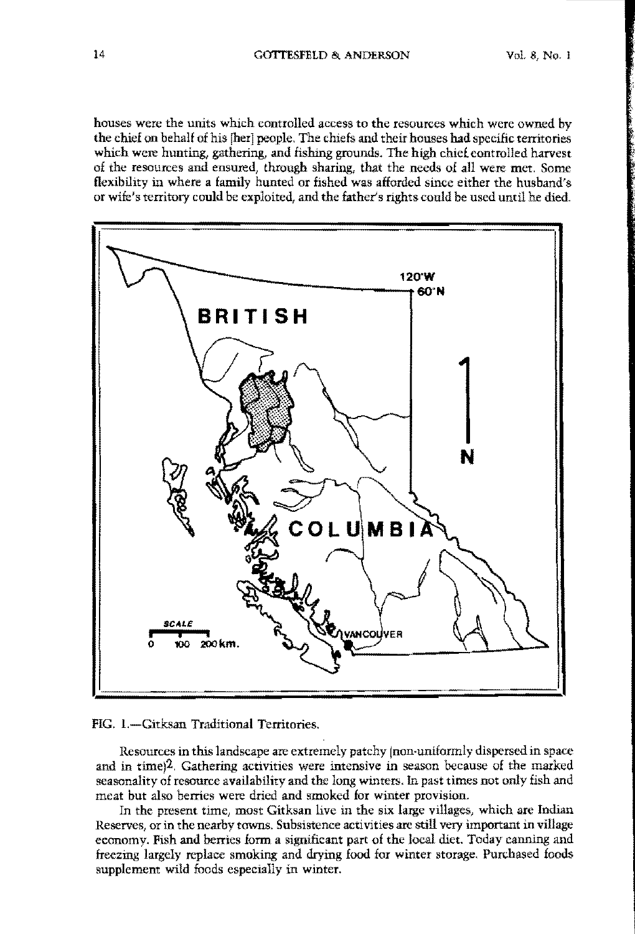houses were the units which controlled access to the resources which were owned by the chief on behalf of his Iber] people. The chiefs and their honses had specific territories which were hunting, gathering, and fishing grounds. The high chief controlled harvest of the resources and ensured, through sharing, that the needs of all were met. Some flexibility in where a family hunted or fished was afforded since either the husband's or wife's territory could be exploited, and the father's rights could be used until he died.



### FIG. 1.-Gitksan Traditional Territories.

Resources in this landscape are extremely patchy (non-uniformly dispersed in space and in time)<sup>2</sup>. Gathering activities were intensive in season because of the marked seasonality of resource availability and the long winters. In past times not only fish and meat but also berries were dried and smoked for winter provision.

In the present time, most Gitksan live in the six large villages, which are Indian Reserves, or in the nearby towns. Subsistence activities are still very important in village economy, Fish and berries form a significant part of the local diet. Today canning and freezing largely replace smoking and drying food for winter storage. Purchased foods supplement wild foods especially in winter.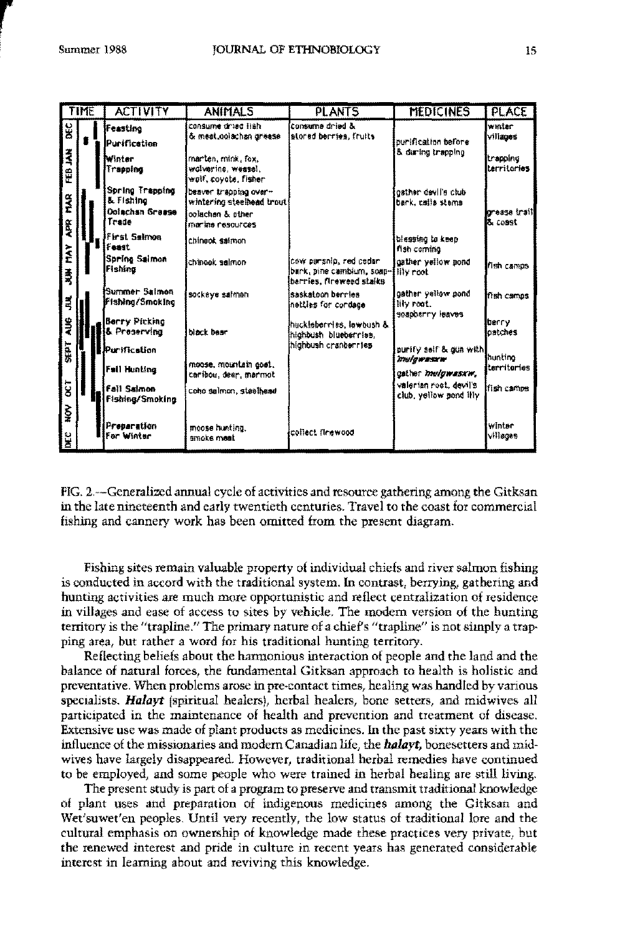|                        | TIME | <b>ACTIVITY</b>                             | <b>ANIMALS</b>                                                                                   | <b>PLANTS</b>                                                            | <b>MEDICINES</b>                                 | <b>PLACE</b>                     |
|------------------------|------|---------------------------------------------|--------------------------------------------------------------------------------------------------|--------------------------------------------------------------------------|--------------------------------------------------|----------------------------------|
| <b>Dift</b><br>FEB JAN |      | Feasting<br>Purification<br><b>lw</b> inter | consume drued lish.<br>& meal oolachan grease<br>marten, mink, fox,                              | consume dried &<br>stored berries. Truits                                | purification before<br>& during trapping         | winter<br>viliages<br>trapping   |
| HAR                    |      | Trapping<br>Soring Trapping<br>& Fishing    | wolverine, weasel,<br>wolf, covote, fisher<br>beaver trapping over-<br>wintering steelhead trout |                                                                          | gather devil's club<br>bark, calis stems         | territories                      |
| APR <sub></sub>        |      | Oolachan Grease<br>Trade<br>First Salmon    | colachan & other<br>marina rasourcas<br>chinook salmon                                           |                                                                          | blessing to keep                                 | oreasa traill<br>& const         |
| MAY                    |      | <b>Ifesst</b><br>Spring Salmon<br>Fishina   | chincak salmon                                                                                   | lcow persola, red cedar                                                  | fish comina<br>gather vellow pond                | fish camps                       |
| 秀                      |      | <b>Burnmer Salmon</b>                       | sockeye salman                                                                                   | bark, pine cambium, soap-<br>barries, fireweed staks<br>saskatoon bermes | lily root<br>gather vellow gond                  | trish camos                      |
| 哥                      |      | iFishing/Smoking<br><b>Berry Picking</b>    |                                                                                                  | nettles for cordage<br>huckleberries, lewbush &                          | lily roat.<br>seapoerry leaves                   | berry                            |
| $\frac{1}{2}$<br>SEPT  |      | & Preserving<br>Purification                | black bear                                                                                       | highbush blueberries,<br>Inichoush cranberries                           | purify self & gun with                           | ioatches.                        |
|                        |      | Full Hunting                                | moose, mountain goot,<br>caribou, deer, marmot                                                   |                                                                          | mulgwasxw<br>cather mulgwasxw.                   | <b>I</b> huntina<br>lterritories |
| $\overline{\alpha}$    |      | <b>Fall Salmon</b><br>Fishing/Smoking       | coho salmon, steelhead                                                                           |                                                                          | valerian rost, devil's<br>club, yellow pond illy | fish campa                       |
| Š<br><b>DEC</b>        |      | Preparation<br>For Winter                   | moose hunting.<br>smoke meat                                                                     | collect firewood                                                         |                                                  | Wintar<br>villages               |

FIG. 2.—Generalized annual cycle of activities and resource gathering among the Gitksan in the late nineteenth and early twentieth centuries. Travel to the coast for commercial fishing and cannery work has been omitted from the present diagram.

Fishing sites remain valuable property of individual chiefs and river salmon fishing is conducted in accord with the traditional system. In contrast, berrying, gathering and hunting activities are much more opportunistic and reflect centralization of residence in villages and ease of access to sites by vehicle. The modern version of the hunting territory is the "trapline." The primary nature of a chief's "trapline" is not simply a trapping area, but rather a word for his traditional hunting territory.

Reflecting beliefs about the harmonious interaction of people and the land and the balance of natural forces, the fundamental Gitksan approach to health is holistic and preventative. When problems arose in pre-contact times, healing was handled by various specialists. Halayt (spiritual healers), herbal healers, bone setters, and midwives all participated in the maintenance of health and prevention and treatment of disease. Extensive use was made of plant products as medicines. In the past sixty years with the influence of the missionaries and modern Canadian life, the **halayt**, bonesetters and midwives have largely disappeared. However, traditional herbal remedies have continued to be employed, and some people who were trained in herbal healing are still living.

The present study is part of a program to preserve and transmit traditional knowledge of plant uses and preparation of indigenous medicines among the Gitksan and Wet'suwet'en peoples. Until very recently, the low status of traditional lore and the cultural emphasis on ownership of knowledge made these practices very private, but the renewed interest and pride in culture in recent years has generated considerable interest in learning about and reviving this knowledge.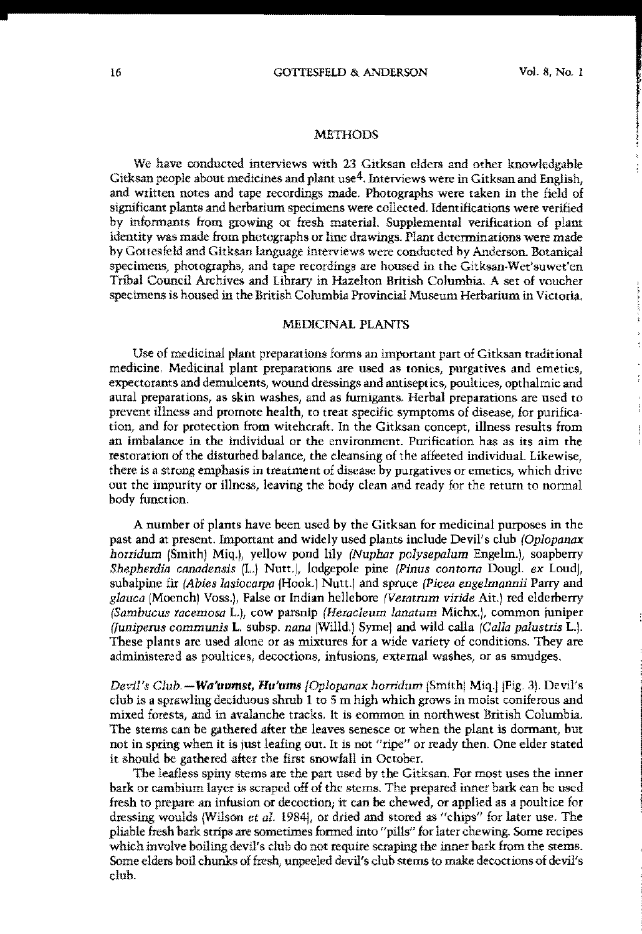## **METHODS**

We have condncted interviews with 23 Gitksan elders and other knowledgable Gitksan people about medicines and plant use4. Interviews were in Gitksan and English, and written notes and tape recordings made. Photographs were taken in the field of significant plants and herbarium specimens were collected. Identifications were verified by infonnants from growing or fresh material. Supplemental verification of plant identity was made from photographs or line drawings. Plant detenninations were made by Gottesfeld and Gitksan language interviews were conducted by Anderson. Botanical **specimens, photographs, and tape recordings are housed in the Gitksan·Wefsuwet'en** Tribal Council Archives and Library in Hazelton Britisb Columbia. A set of voucher specimens is housed in the British Columbia Provincial Museum Herbarium in Victoria,

## MEDICINAL PLANTS

Use of medicinal plant preparations forms an important part of Gitksan traditional **medicine, Medicinal plant preparations are used as tonics/ purgatives and emetics/** expectorants and demulcents, wound dressings and antiseptics, poultices, opthalmic and **aural preparations, as skin washes<sup>J</sup> and as fumigants. Herbal preparations are used to** prevent illness and promote health, to treat specific symptoms of disease, for purifica· tion, and for protection from witehcraft, In the Gitksan concept, illness results from an imbalance in the individual or the environment. Purification has as its aim the restoration of the disturbed balance, the cleansing of the affeeted individual. Likewise, **there is a strong emphasis in treatment of disease by purgatives or emetics/ which drive** out the impurity or illness, leaving the hody clean and ready for the return to nonnal body function.

A number of plants have been used by the Gitksan for medicinal purposes in the past and at present. Important and Widely used plants include Devil's club *(Oplopanax borridum (Smith)* Miq.), yellow pond lily *(Nuphar polysepalum Engelm.)*, soapberry *Sbepberdia canadensis* IL,I Nutt.), lodgepole pine *(Pinus contorta* Doug!. *ex* Loudl, suhalpine fir *(Abies lasiocarpa* IHook) Nutt.j and spruce *(Picco engelmannii* Parry and *glauca* (Moeneh) Voss.), False or Indian hellebore *(Veratrum virlde* Ait.) red elderberry *(Sambucus racemosa* 1..), cow parsnip *{Heraeleum lanatum* Michx.l, common juniper *(TU1l1perus communis* I.. subsp. nana IWilld.) Symej and wild calla *(Calla palustris* LI. These plants are used alone or as mixtures for a wide variety of conditions. They are **administered as poultices, decoctions, infusions, external washes, or as smudges,**

*Devil's Club.* - Wa'uumst, *Hu'ums {Oplopanax horridum* (Smith} Miq.} (Fig. 3). Devil's club is a sprawling deciduous shrub I to 5 m high which grows in moist coniferous and mixed forests, and in avalaoche tracks. [t is eommon in northwest British Columbia. The stems can be gathered after the leaves senesce or when the plant is dormant, but rot in spring when it is just leafing Out. [t is not "ripe" or ready then. One elder stated it should be gathered alter the first snowfall in October.

The leafless spiny stems are the part used by the Gitksan. For most uses the inner bark or camhium layer is scraped off of the stems, Tbe prepared inner bark can be used fresh to prepare an infusion or decoction; it can be chewed, or applied as a poultice for dressing woulds (Wilson *et al.* 1984], or dried and stored as "chips" for later use. The pliable fresh bark strips are sometimesfonned into "pills" for later chewing. Some recipes which involve boiling devil's club do not require scraping the inner bark from the stems. Some elders boil chunks of fresh, unpeeled devil's club stems to make decoctions of devil's club.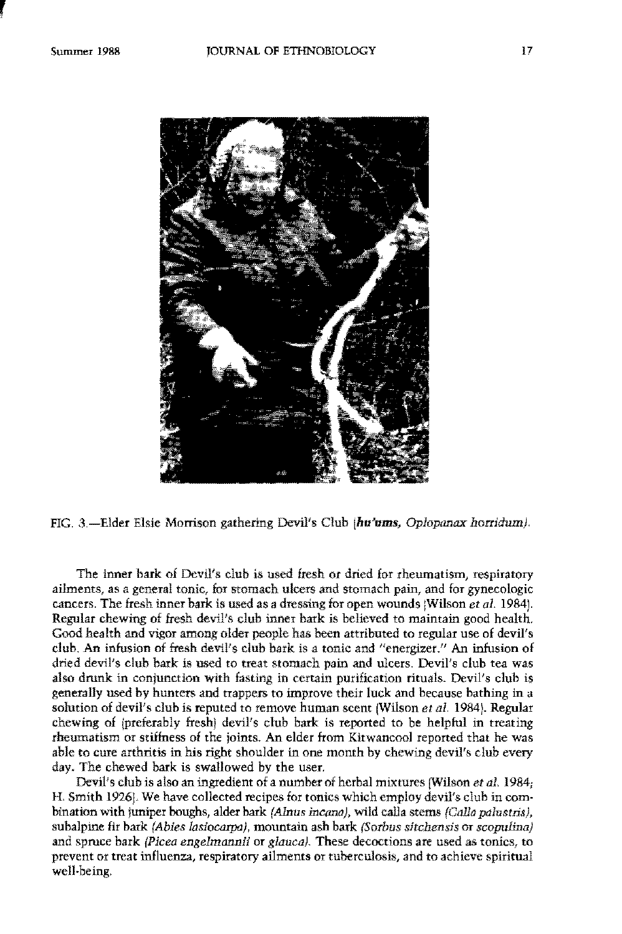r



FIG. 3.-Elder Elsie Morrison gathering Devil's Club *Ihu'ums, Oplopanax horridum).*

The inner bark of Devil's club is used fresh or dried for rheumatism, respiratory **ailments/ as a general tonic, fur stomach ulcers and stomach pam, and for gynecologic** cancers. The fresh inner bark is used as a dressing for open wounds IWilson *et* a1. 1984). Regular chewing of fresh devil's club inner bark is believed to maintain good health. Good health and vigor among older people has been attributed to regular use of devil's club. An infusion of fresh devil's club bark is a tonic and "energizer." An infusion of dried devil's club bark is used to treat stomach pain and ulcers. Devil's club tea was also drunk in conjunction with fasting in certain purification rituals. Devil's club is generally used by hunters and trappers to improve their luck and because bathing in a solution of devil's club is reputed to remove human scent (Wilson *et al.* 1984). Regular chewing of ipreferably fresh) devil's club bark is reported to be helpful in treating rheumatism or stillness of the joints. An elder from Kitwancool reported that he was ablc to cure arthritis in his right shoulder in one month by chewing devil's club every day. The chewed bark is swallowed by the user.

Devil's club is also an ingredient of a number of herbal mixtures (Wilson *et al.* 1984; H. Smith 19261. We have collected recipes for tonics which employ devil's club in combination with juniper boughs, alder bark *(Alnus inc{11]a),* wild calla stems *(Calla palnstris),* subalpine fir bark *(Abies Iasiocarpa),* mountain ash bark *(Sorbns sitchensis* Or *scopulina)* and spruce bark *(Picea engelmonnii* or giancaJ. These decoctions are used as tonics, to **prevent or treat influenza, respiratory ailments or tuberculosis, and to achieve spiritual** well-being,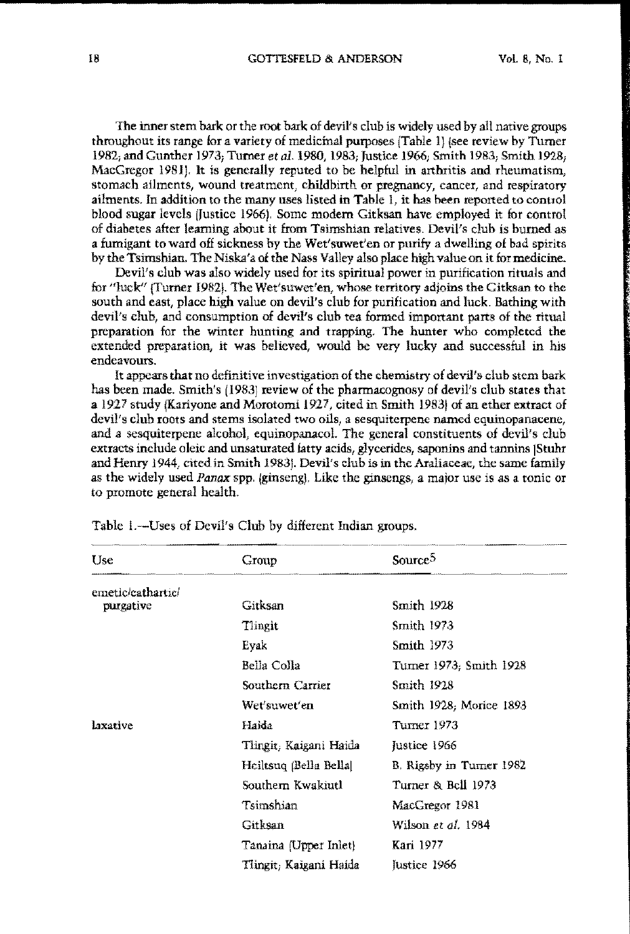The inner stem bark or the root bark of devil's club is widely used by all native groups throughout its range for a variety of medicinal purposes (Table 1) (see review by Turner 1982, and Gunther 1973; Turner *et 01.* 1980, 1983; Justice 1966; Smith 1983; Smith 1928; MacGregor 1981). It is gencrally reputed to be helpful in arthritis and rheumatism, **stomach ailments, wound treatment, childbirth or pregnancy, cancer, and respiratory** ailments. In addition to the many uses listed in Table I, it has been repotted to control blood sugar levels IJustice 1966). Some modem Gitksan have employed it for control of diabetes aftcr learning about it from Tsimshian relatives. Devil's club is burned as a fumigant to ward off sickness by the Wet'suwet'en or purify a dwelling 01 bad spirits by the Tsimshian. The Niska'a of the Nass Valley also place high value on it for medicine.

Devil's club was also widely used for its spiritual power in purification rituals and for "luck" (Turner 1982). The Wet'suwet'en, whose territory adjoins the Gitksan to the south and east, place high value on devil's club for purification and luck. Bathing with devil's club, and consumption of devil's club tea lormed important parts of the ritual preparation for the winter hunting and trapping. The hunter who completed the extended preparation, it was believed, would he very lucky and successful in his endeavours.

It appears that no definitive investigation of the chemistry of devil's club stem bark has been made. Smith's 11983) review of the pharmacognosy of devil's club states that a 1927 study lKariyone and Morotomi 1927, cited in Smith 1983' of an ethcr extract of **devil's club roots and stems isolated two oils, a sesquiterpenc named equinopanacene,** and a sesquiterpene alcohol, equinopanacol. The general constituents of devil's club extracts include oleic and unsaturated fatty acids, glycerides, saponins and tannins 'Stubr and Henry 1944, cited in Smith 19831. Devil's club is in the Araliaceae, the same family as the widely used Panax spp. (ginseng). Like the ginsengs, a major use is as a tonic or to promote general health.

| Use               | Group                  | Source <sup>5</sup>      |
|-------------------|------------------------|--------------------------|
| emetic/cathartic/ |                        |                          |
| purgative         | Gitksan                | Smith 1928               |
|                   | Tlingit                | Smith 1973               |
|                   | Eyak                   | Smith 1973               |
|                   | Bella Colla            | Turner 1973; Smith 1928  |
|                   | Southern Carrier       | Smith 1928               |
|                   | Wet'suwet'en           | Smith 1928; Morice 1893  |
| laxative          | Haida                  | Turner 1973              |
|                   | Tlingit; Kaigani Haida | Justice 1966             |
|                   | Heiltsuq (Bella Bella) | B. Rigsby in Turner 1982 |
|                   | Southern Kwakiutl      | Turner & Bcll 1973       |
|                   | Tsimshian              | MacGregor 1981           |
|                   | Gitksan                | Wilson et al. 1984       |
|                   | Tanaina (Upper Inlet)  | Kari 1977                |
|                   | Tlingit; Kaigani Haida | Justice 1966             |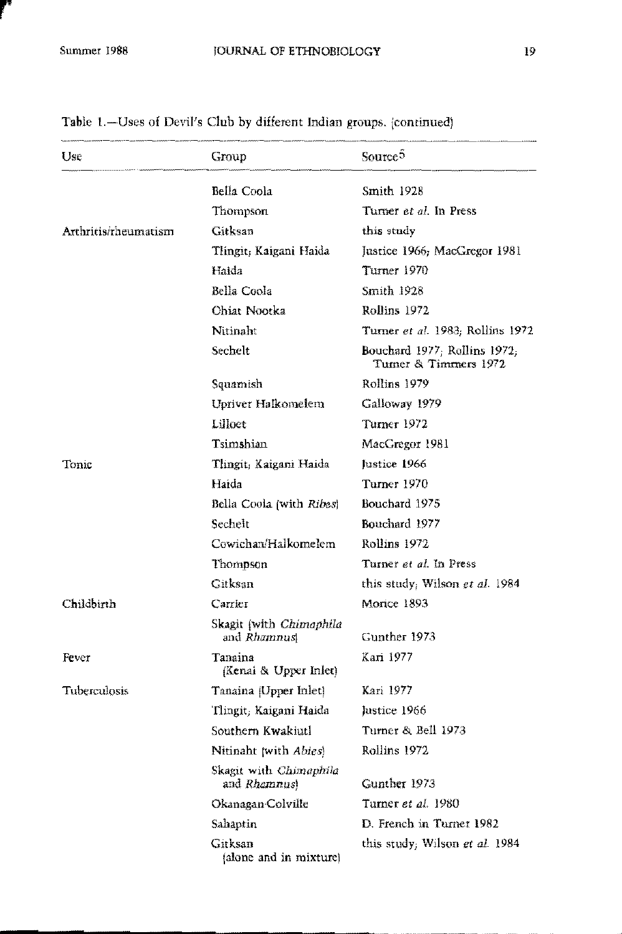| Use                  | Group                                  | Source <sup>5</sup>                                  |
|----------------------|----------------------------------------|------------------------------------------------------|
|                      | Bella Coola                            | Smith 1928                                           |
|                      | Thompson                               | Tumer <i>et al</i> . In Press                        |
| Arthritis/rheumatism | Citksan                                | this study                                           |
|                      | Tlingit; Kaigani Haida                 | Justice 1966; MacGregor 1981                         |
|                      | Haida                                  | Turner 1970                                          |
|                      | Bella Coola                            | <b>Smith 1928</b>                                    |
|                      | <b>Chiat Nootka</b>                    | Rollins 1972                                         |
|                      | Nitinaht                               | Turner et al. 1983; Rollins 1972                     |
|                      | Sechelt                                | Bouchard 1977; Rollins 1972;<br>Tumer & Timmers 1972 |
|                      | Squamish                               | Rollins 1979                                         |
|                      | Upriver Halkomelem                     | Galloway 1979                                        |
|                      | Lilloet                                | Turner 1972                                          |
|                      | Tsimshian                              | MacGregor 1981                                       |
| Tonic                | Tlingit, Kaigani Haida                 | lustice 1966                                         |
|                      | Haida                                  | Turner 1970                                          |
|                      | Bella Coola (with Ribes)               | Bouchard 1975                                        |
|                      | Sechelt                                | Bouchard 1977                                        |
|                      | Cowichan/Halkomelem                    | Rollins 1972                                         |
|                      | Thompson                               | Turner et al. In Press                               |
|                      | Gitksan                                | this study; Wilson <i>et al.</i> 1984                |
| Childbirth           | Carrier                                | Morice 1893                                          |
|                      | Skagit (with Chimaphila<br>and Rhamnus | Gunther 1973                                         |
| Fever                | Tanaina<br>(Kenai & Upper Inlet)       | Kari 1977                                            |
| Tuberculosis         | Tanaina (Upper Inlet)                  | Kan 1977                                             |
|                      | Tlingit, Kaigani Haida                 | lustice 1966                                         |
|                      | Southern Kwakiutl                      | Turner & Bell 1973                                   |
|                      | Nitinaht (with Abies)                  | Rollins 1972                                         |
|                      | Skagit with Chimaphila<br>and Rhamnus) | Gunther 1973                                         |
|                      | Okanagan-Colville                      | Turner et al. 1980                                   |
|                      | Sahaptin                               | D. French in Turner 1982                             |
|                      | Gitksan<br>(alone and in mixture)      | this study; Wilson et al. 1984                       |

# Table 1.-Uses of Devil's Club by different Indian groups. (continued)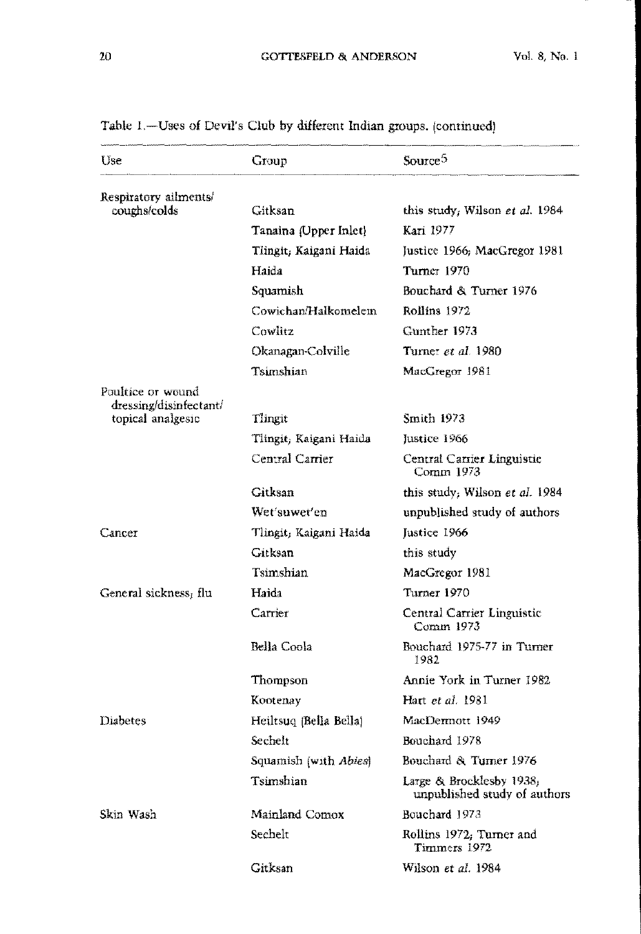| Use                                                              | Group                         | Source <sup>5</sup>                                      |
|------------------------------------------------------------------|-------------------------------|----------------------------------------------------------|
| Respiratory ailments/                                            |                               |                                                          |
| coughs/colds                                                     | Gitksan                       | this study, Wilson et al. 1984                           |
|                                                                  | Tanaina (Upper Inlet)         | Kari 1977                                                |
|                                                                  | Tlingit; Kaigani Haida        | Justice 1966; MacGregor 1981                             |
|                                                                  | Haida                         | Turner 1970                                              |
|                                                                  | Squamish                      | Bouchard & Turner 1976                                   |
|                                                                  | Cowichan/Halkomelem           | Rollins 1972                                             |
|                                                                  | Cowlitz                       | Gunther 1973                                             |
|                                                                  | Okanagan-Colville             | Turner <i>et al.</i> 1980                                |
|                                                                  | Tsimshian                     | MacGregor 1981                                           |
| Poultice or wound<br>dressing/disinfectant/<br>topical analgesic | Tlingit                       | Smith 1973                                               |
|                                                                  | Tlingit; Kaigani Haida        | Justice 1966                                             |
|                                                                  | Central Carrier               | Central Carrier Linguistic<br>Comm 1973                  |
|                                                                  | Citksan                       | this study; Wilson et al. 1984                           |
|                                                                  | Wet'snwet'en                  | unpublished study of authors                             |
| Cancer                                                           | Tlingit; Kaigani Haida        | Justice 1966                                             |
|                                                                  | Gitksan                       | this study                                               |
|                                                                  | Tsimshian                     | MacGregor 1981                                           |
| General sickness, flu                                            | Haida                         | Turner 1970                                              |
|                                                                  | Carrier                       | Central Carrier Linguistic<br>Comm 1973                  |
|                                                                  | Bella Coola                   | Bouchard 1975-77 in Turner<br>1982                       |
|                                                                  | Thompson                      | Annie York in Turner 1982                                |
|                                                                  | Kootenay                      | Hart et al. 1981                                         |
| Diabetes                                                         | Heiltsuq (Bella Bella)        | MacDermott 1949                                          |
|                                                                  | Sechelt                       | Bouchard 1978                                            |
|                                                                  | Squamish (with <i>Abies</i> ) | Bouchard & Turner 1976                                   |
|                                                                  | Tsimshian                     | Large & Brocklesby 1938.<br>unpublished study of authors |
| Skin Wash                                                        | Mainland Comox                | Bouchard 1973                                            |
|                                                                  | Sechelt                       | Rollins 1972; Turner and<br>Timmers 1972                 |
|                                                                  | Gitksan                       | Wilson et al. 1984                                       |

Table 1.-Uses of Devil's Club by different Indian groups. (continued)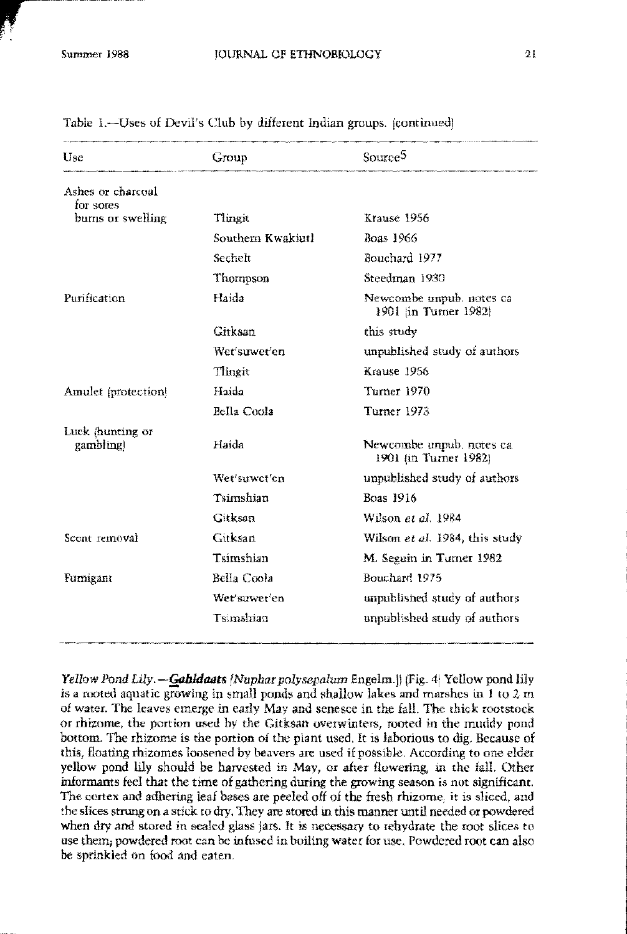,  $\frac{1}{\sqrt{2}}$ 

| Use                            | Group              | Source <sup>5</sup>                               |
|--------------------------------|--------------------|---------------------------------------------------|
| Ashes or charcoal<br>for sores |                    |                                                   |
| burns or swelling              | Tlingit            | Krause 1956                                       |
|                                | Southern Kwakjutl  | Boas 1966                                         |
|                                | Sechelt            | Bouchard 1977                                     |
|                                | Thornpson          | Steedman 1930                                     |
| Purification                   | Haida              | Newcombe unpub. notes ca<br>1901 (in Turner 1982) |
|                                | Girksan            | this study                                        |
|                                | Wet'suwet'en       | unpublished study of authors                      |
|                                | Tlingit            | Krause 1956                                       |
| Amulet (protection)            | Haida              | Turner 1970                                       |
|                                | <b>Eclla</b> Coola | Turner 1973                                       |
| Luck (hunting or<br>gambling)  | Haida              | Newcombe unpub. notes ca<br>1901 (in Turner 1982) |
|                                | Wet'suwet'en       | unpublished study of authors                      |
|                                | Tsimshian          | <b>Boas 1916</b>                                  |
|                                | Gitksan            | Wilson et al. 1984                                |
| Scent removal                  | Gitksan            | Wilson <i>et al.</i> 1984, this study             |
|                                | Tsimshian          | M. Seguin in Turner 1982                          |
| Furnigant                      | Bella Coola        | Bouchard 1975                                     |
|                                | Wet'suwer'en       | unpublished study of authors                      |
|                                | Tsimshian          | unpublished study of authors                      |

Table 1.—Uses of Devil's Club by different Indian groups. (continued)

*Yellow Pond Lily.* -*Gabldaats {Nuphar polysepalum* Engelm<sub>·</sub>III (Fig. 4} Yellow pond lily is a rooted aquatie growing in small ponds and shallow lakes and marshes in I to 2 m of water. The leaves emerge in early May and senesee in the fall. The thick rootstock or rhizome, the portion used by the Gitksan overwinters, rooted in the muddy pond bottom. The rhizome is the portion of the plant used. It is laborious to dig. Because of this, floating rhizomes loosened by beavers are used if possible. According to one elder yellow pond lily should be harvested in May, or after flowering, In the fall. Other informants feel that the time of gathering during the growing season is not significant. The cortex and adhering leaf bases are peeled off of the fresh rhizome, it is sliced, and the slices strung on a stick to dry. They are stored in this manner until needed or powdered. when dry and stored in sealcd glass jars. It is necessary to rehydrate the root slices to use thetn, powdered root can be infused in boiling water for use. Powdered root can also be sprinkled on food and eaten.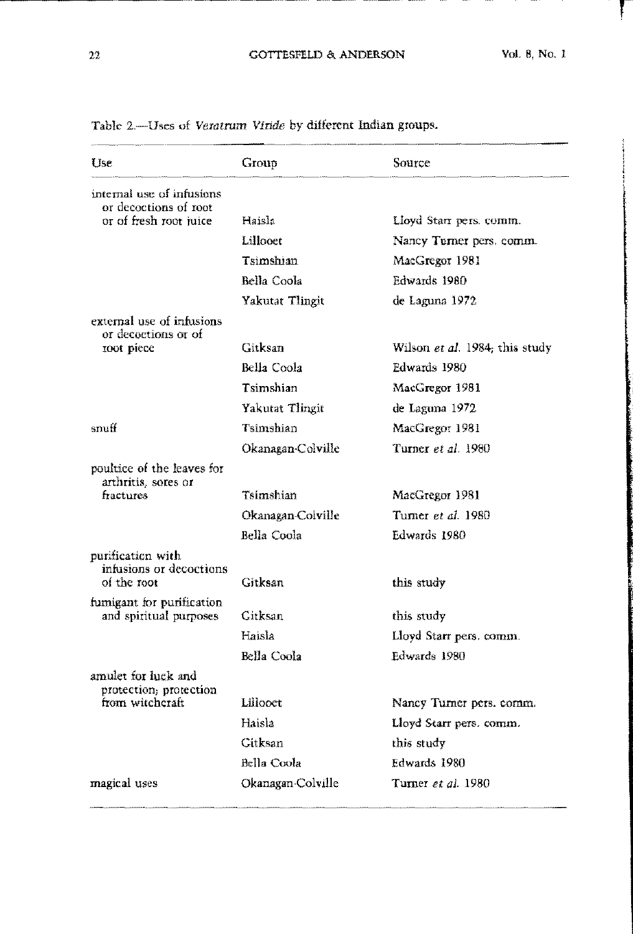# GOTTESFELD & ANDERSON

ļ

| Use                                              | Group              | Source                         |
|--------------------------------------------------|--------------------|--------------------------------|
| internal use of infusions                        |                    |                                |
| or decoctions of root<br>or of fresh root juice  | Haisla             | Lloyd Starr pers. comm.        |
|                                                  | Lillooet           | Nancy Turner pers. comm.       |
|                                                  | Tsimshian          | MacGregor 1981                 |
|                                                  | <b>Bella Coola</b> | Edwards 1980                   |
|                                                  | Yakutat Tlingit    | de Laguna 1972                 |
| external use of infusions<br>or decoctions or of |                    |                                |
| root piece                                       | Gitksan            | Wilson et al. 1984; this study |
|                                                  | Bella Coola        | Edwards 1980                   |
|                                                  | Tsimshian          | MacGregor 1981                 |
|                                                  | Yakutat Tlingit    | de Laguna 1972                 |
| snuff                                            | Tsimshian          | MacGregor 1981                 |
|                                                  | Okanagan-Colville  | Turner et al. 1980             |
| poultice of the leaves for                       |                    |                                |
| arthritis, sores or<br>fractures                 | Tsimshian          | MacGregor 1981                 |
|                                                  | Okanagan-Colville  | Turner et al. 1980             |
|                                                  | Bella Coola        | Edwards 1980                   |
| purification with                                |                    |                                |
| infusions or decoctions<br>of the root           | Gitksan            | this study                     |
| fumigant for purification                        |                    |                                |
| and spiritual purposes                           | Gitksan            | this study                     |
|                                                  | Haisla             | Lloyd Starr pers. comm.        |
|                                                  | Bella Coola        | Edwards 1980                   |
| amulet for luck and<br>protection, protection    |                    |                                |
| from witchcraft                                  | Lillooet           | Nancy Turner pers. comm.       |
|                                                  | Haisla             | Lloyd Starr pers. comm.        |
|                                                  | Gitksan            | this study                     |
|                                                  | Bella Coola        | Edwards 1980                   |
| magical uses                                     | Okanagan-Colville  | Turner et al. 1980             |

Table 2.-Uses of Veratrum Viride by different Indian groups.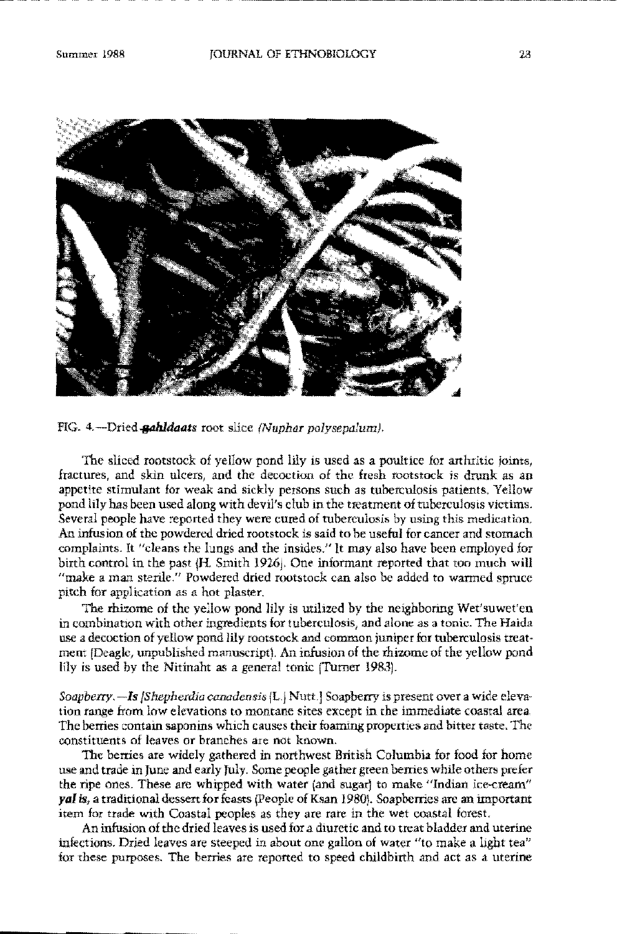

FIG. 4.-Dried gahldaats root slice *(Nuphar polysepalum)*,

The sliced rootstoek of yellow pond lily is used as a poultice for arthritic joints, **fractures, and skin ulcers} and the decoctiun of the fresh rootstock is drunk as .an** appetite stimulant for weak and sickly persons such as tuberculosis patients. Yellow pond lily bas been used along with devil's club in the treatment of tuberculosis victims. Several people have reported they were cured of tuberculosis by using this medication, An infusion of the powdered dried rootstock is said to be useful for cancer and stomach complaints. It "cleans the lungs and the insides," It may also have been employed for birth control in the past (H. Smith 1926). One informant reported that too much will **llmake a ma'! sterile," Powdered dried rootstock can also be added to wanned sprnce** pireh fur application as a hot plaster,

The rhizome of the yellow pond lily is utilized by the neighboring Wet'suwet'en **in combinatlon with other ingredients for tuberculosis} and alone a.lii a tonic. The Haida** use a decoction of yellow pond lily rootstock and common juniper for tuberculosis treatment IDeagle, unpublished manuscript). An infusion 01 the rhizome 01 the yellow pond lily is used by the Nitinaht as a general tonic ITurner 198a).

*Soapberry,*-Is*{Shepherdia canadensis* IL.l Nutt,] Soapberry is present over a wide eleva· **tion range from low elevations to montane sites except in the immediate coastal area** The berries contain saponins which causes their foaming properties and bitter taste. The **constituents of leaves or branches are not known,**

The berries are widely gathered in northwest British Columbia for food for home use and trade in lune and early luly, Some people gatber green berries while others prefer the ripe ones. These are whipped with water land sugar) to make "Indian ice-cream" *yal* is, a traditional dessert for feasts (People of Ksan 1980). Soapberries are an important item for trade with Coastal peoples as they are rare in the wet coastal forest,

An infusion 01 the dried leaves is used for a diuretie and to treat bladder and uterine **infections. Dried leaves a.re steeped in about one gallon of Water "to make a light tea"** for these purposes, The berries are reponed to speed childbirth and act as a uterine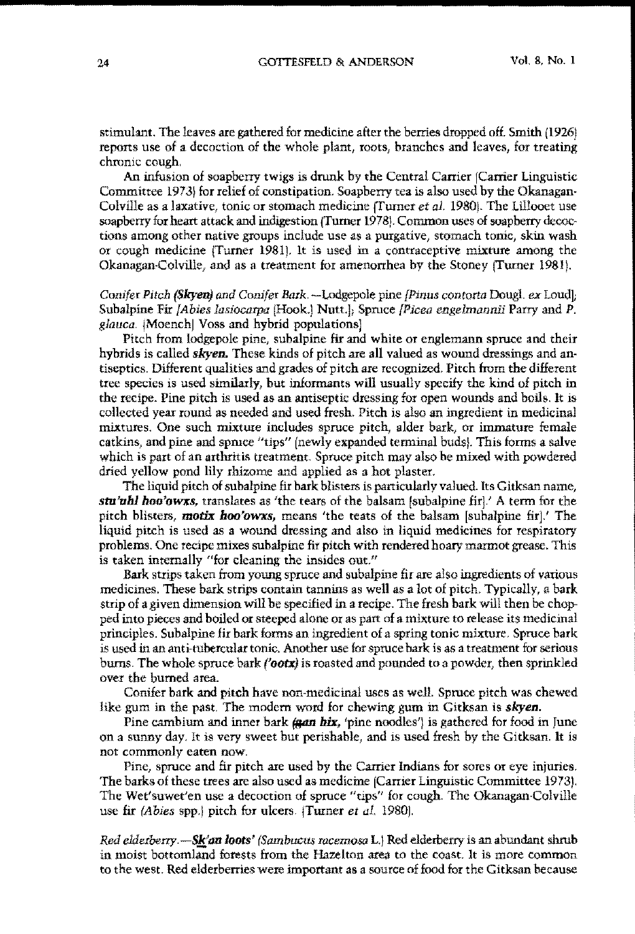stimulant. The leaves are gathered for medicine after the bemes dropped off. Smith (1926) repons use of a decoctiou of the whole plant, roots, branches and leaves, for treating chronic cough,

An infusion of soapberry twigs is drunk by the Central Carrier (Carrier Linguistic Committee 1973) for relief of constipation. Soapberry tea is also used by the Okanagan· Colville as a laxative, tonic or stomach medicine (Tumer *et a1.* 1980). The Lillooet use soapberry for heart attack and indigestion (Turner 1978). Common uses of soapberry decoctions among other native groups include use as a purgative, stomach tonic, skin wash or cough medicine (Turner 1981), It is used in a contraceptive mixture among the Okanagan-Colville, and as a treatment for amenorrhea by the Stoney [Tumer 19811,

*Conifer Pitch (Skyen)* and *Conifer Bark.* --Lodgepole pine *[Pinus contorta Dougl. ex Loud]*; Subalpine Fir *{Abies lasiocarpa* (Hook.) Nutt.]; Spruce *(Picea engelmannii* Parry and P. glauca. [Moench] Voss and hybrid populations]

Pitch from lodgepolc pine, subalpine fir and white or englemann spruce and their hybrids is called *skyen.* These kinds of pitch are all valued as wound dressings and antiseptics. Different qualities and grades of pitch are recognized. Pitch from the different tree species is used similarly, but informants will usually specify the kind of pitch in the recipe. Pine pitch is used as an antiseptic dressing for open wouods and boils. It is collected year round as needed and used fresh. Pitch is also an ingredient in medicinal mixtures. One such mixture includes spruce pitch, alder bark, or immature female catkins, and pine and spmce "tips" (newly expanded terminal buds). This forms a salve which is part of an arthritis treatment. Spruce pitch may also be mixed with powdered dried yellow pond lily rhizome and applied as a hot piaster.

The liquid pitch of subalpinc fir bark blisters is panicularly valued. Its Gitksan name, *sro'uhl hoo'owxs,* translates as 'the tears of the balsam (subalpine fir]' A tcrm for the pitch blisters, **motix hoo'owxs**, means 'the teats of the balsam [subalpine fir].' The liquid pitch is used as a wouod dressing and also in liquid medicincs for rcspiratory problems. One recipe mixes subalpine fir pitch with rendered hoary marmot grease. This is taken internally "for cleaning the insides out."

Bark strips taken from young spruce and subalpine fir are also ingredients of various medicines. These bark strips contain tannlus as well *as* a lot of pitch. Typically, a bark strip of a given dimension will be specified in a recipe. The fresh bark will then be chopped into pieces and boiled or steeped alone or as part of a mixture to release its medicinal principles. Subalpine fir bark forms an ingredient of a spring tonic mixture. Spruce bark is used in an anti-tubercular tonic. Another use for spruce bark is as a treatment for serious burns. The whole spruce bark ('ootx) is roasted and pounded to a powder, then sprinkled over the burned area.

Conifer bark and pitch have non-medicinal uses as well. Spruce pitch was chewed likc gum in the past. The modem word for chewing gum in Gitksan is *skyen.*

Pine cambium and inner bark (gan hix, 'pine noodles') is gathered for food in June on a sunny day. It is very sweet but perishable, and is used fresh by the Gitksan. It is not commonly eaten now,

Pine, spruce and fir pitch are used by the Carrier Indians for sores or eye injuries. The barks of these trees are also used as medicine (Carrier Linguistic Committee 1973). The Wet'suwet'en use a decoction of spruce "tips" for cough. The Okanagan·Colville use fir *(Abies* spp.) pitch for ulcers. (Turner *et al.* 1980),

*Red elderberry.*-Sk'an loots' (Sambucus racemosa L.) Red elderberry is an abundant shrub in moist bottomland forests from the Hazelton area to the coast. It is more common to the west. Red elderberries were important as a source of food for the Gitksan because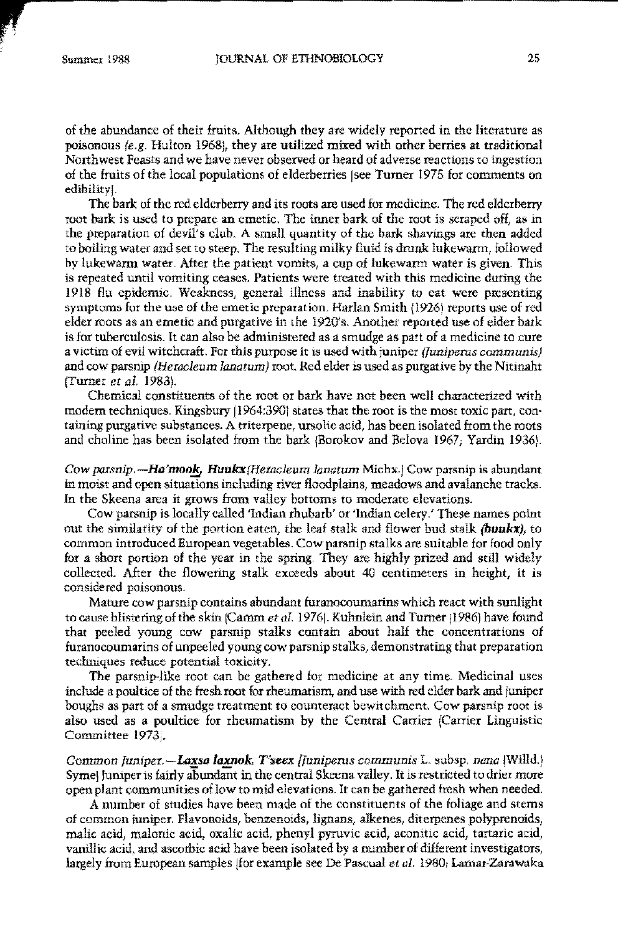of the abundance of their fruits. Although they are widely reported in the literature as poisonous  $(e.g.$  Hulton 1968), they are utilized mixed with other berries at traditional Northwest Feasts and we have never observed or heard of adverse reactions to ingestion of the fruits of the local populations of elderberries Isee Turner 1975 for comments on edibilityl·

The bark of the red elderberry and its roots are used for medicine. The red elderberry root bark is used to prepare an emetic. The inner bark of the root is scraped off, as in the preparation of devil's club. A small qoantity of the bark shavings are then added to boiling water and set to steep. The resulting milky fluid is drunk lukewarm, followed by lukewarm water. Alter the patient vomits, a cup of lukewarm water is given. This is repeated until vomiting ceases. Patients were treated with this medicine during the 1918 flu epidemic. Weakness, general illness and inability to eat were presenting symptoms for the use of the emetic preparation. Harlan Smith (1926) reports use of red elder roots as an emetie and purgative in the 1920's. Another reported use of elder bark is for tuberculosis. It can also be administered as a smudge as part of a medicine to cure a victim of evil witchcraft, For this purpose it is used with juniper (funiperns communis) and cow parsnip *(Heracleum lanatum)* root. Red elder is used as purgative by the Nitinaht (Turner et *al.* 1983).

Chemical constituents of the root or bark have not been well characterized with modern techniques. Kingsbury  $(1964:390)$  states that the root is the most toxic part. containing purgative substances. A triterpene, ursolic acid, has been isolated from the roots and choline has been isolated from the bark IBorokov and Belova 1967; Yardin 1936).

*Cow parsnip.* --*Ha'mook, Huukx(Heracleum lanatum* Michx.) Cow parsnip is abundant in moist and open situations including river floodplains, meadows and avalanche tracks. In the Skeena area it grows from valley bottoms to moderate elevations.

Cow parsnip is locally called 'Indian rhubarb' or 'Indian celery: 'Ibese names poinr out the similarity of the portion eaten, the leaf stalk and flower bud stalk *(buukr),* to common introduced European vegetables. Cow parsnip stalks are suitable for food only for a short portion of the year in the spring. They are highly prized and still widely collected. After the flowering stalk exceeds about 40 centimeters in height, it is considered poisonons.

Mature cow parsnip contains abundant furanocoumarins which react with sunlight to cause blistering of the skin [Camm *et al.* 1976]. Kuhnlein and Turner [1986] have found that peeled young cow parsnip stalks contain about half the concentrations of furanocoumarins of unpeeled young cow parsnip stalks, demonstrating that preparation techniques reduce potential toxicity.

The parsnip-llke root can be gathered for medicine at any time. Medicinal uses include a poultice of the fresh root for rheumatism, and use with red elder bark and juniper boughs as part of a smudge treatment to counteract bewitchment, Cow parsnip root is also used as a poultice for rheumatism by the Central Carrier (Carrier Linguistic Committee 1973.

*Common Juniper.*-**Laxsa laxnok**, *T'seex [Juniperus communis* L. subsp. *nana* [Willd.) Symel Juniper is fairly abundant in the central Skeena valley. It is restricted to drier more open plant communities of low to mid elevations. It can be gathered fresh when needed.

A number of studies bave been made of the constituents of the foliage and stems of common juniper. Flavonoids, benzenoids, lignans, alkenes, diterpenes polyprenoids, malic acid, malonic acid, oxalic acid, phenyl pyruvic acid, aconitic acid, tartaric acid, vanillic acid, and ascorbic acid have been isolated by a number of different investigators, largely from European samples [for example see De Pascual *et al.* 1980, Lamar-Zarawaka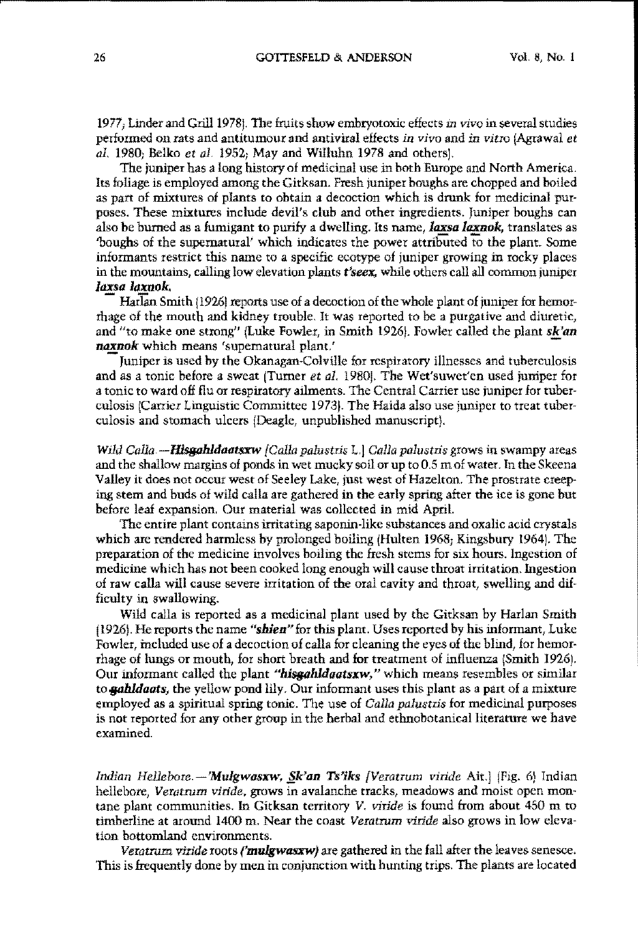1977; Linder and Grill1978J. The fruits show embryotoxic effects *in vivo* in several studies performed on rats and antitumour and antiviral effects *ill vivo* and *in vitro* (Agrawal *et 01.* 1980; Belko *et 01.* 1952; May and Wi1luhn 1978 and othersl.

The juniper has a long history of medicinal use in both Europe and North America. Its foliage is employed among the Gitksan. Fresh juniper boughs are chopped and boiled as part of mixtures of plants *to* obtain a decoction which is drunk for medicinal purposes. These mixtures include devil's club and other ingredients. Juniper boughs can also be burned as a fumigant to purify a dwelling. Its name, *laxsa laxnok,* translates as 'boughs of the supernatural' which indicates the power attributed to the plant\_ Some informants restrict this name to a specific ecotype of **juniper** growing in rocky places in the mountains, calling low elevation plants *t'seex*, while others call all common juniper *laxsa Jaxnok,*

Harlan Smith (1926) reports use of a decoction of the whole plant of juniper for hemorrhage of the mouth and kidney trouble. It was reported to be a purgative and diuretic, and "to make one strong" (Luke Fowler, in Smith 19261. Fowler called tbe plant *sk'an* naxnok which means 'supernatural plant,'

- Juniper is used by *the* Okanagan-Colville for respiratory illnesses and tuberculosis and as a tonic hefore a sweat (Turner *et a1.* 19801. The Wet'suwet'en used juniper for a tonic to ward off flu or respiratory ailments. The Central Carrier use juniper for tuberculosis (Carrier Linguistic Committee 1973). The Haida also use juniper to treat tuberculosis and stomach ulcers (Deagle, unpublished manuscript).

*Wild Calla.*-**Hisgahldaatsxw** *[Calla palustris L.] Calla palustris* grows in swampy areas and the shallow margins of ponds in wet mucky soil or up to 0.5 m of water. In the Skeena Valley it does not occur west of 5eeley Lake, just west of Hazelton. The prostrate creeping stem and buds of wild calla are gathered in the early spring after the ice is gone but before leaf expansion. Our material was collected in mid April.

The entire plant contains irritating saponin-like substances and oxalic acid crystals which are rendered harmless by prolonged boiling (Hulten 1968; Kingsbury 19641. The preparation of the medicine involves boiling the fresh stems for six hours. Ingestion of medicine which has nor been cooked long enough will cause throat irritatinn. Ingestion of raw calla will cause severe irritation of the oral cavity and throat, swelling and difficulty in swallowing.

Wild calla is reported as a medicinal plant used by the Gitksan by Harlan Smith (19261. He reports the name *"wen"* for this plant. Usesreported by his informant, Luke Fowler, included use of a decoction of calla for cleaning the eyes of the blind, for hemorrhage of lungs or mouth, for short breath and for treatment of influenza (Smith 1926). Our informant called the plant *"hisgahldaatsxw,"* which means resembles or similar *to.gahldaats,* the yellow pond lily. Our informant uses this plant as a part of a mixture employed as a spiritual spring tonic. The use of *Calla palustris* for medicinal purposes is not reported for any other group in the herbal and ethnobotanical literature we have examined.

*Indian Hellebore.--'Mulgwasxw, §k'an Ts'iks [Veratrum <i>viride* Ait.] (Fig. 6) Indian hellebore, *Veratrum vidde,* grows in avalanche tracks, meadows and moist open montane plant communities. In Gitksan territory  $V$ . viride is found from about 450 m to timberline at around 1400 m. Near tbe coast *Veratrum viride* also grows in low elevation bottomland environments.

*Veratrum viride* roots *('mulgwasxw)* are gathered in the fall after the leaves senesce. This is frequently done by men in conjunction with bunting trips. The plants are located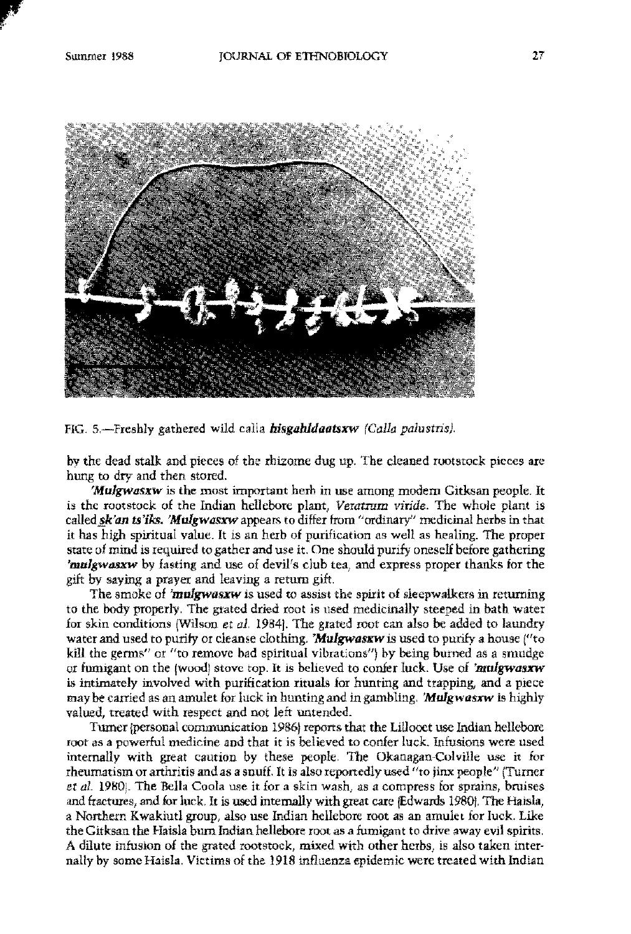

FIG. 5.-Freshly gathered wild calla **hisgahldaatsxw** *(Calla palustris).* 

by the dead stalk and pieces of the rhizome dug up. The cleaned rootstock pieces are hung to dry and then stored.

'Mulgwasxw is the most important herb in use among modern Gitksan people. It is the rootstock of the Indian hellebore plant, *Veratrum viride.* The whole plant Is called *sk'an ts'iks. 'Mulgwasxw* appears to differ from "ordinary" medicinal herbs in that it has high spiritual value. It is an herb of purification as well as healing. The proper state of mind is required to gather and use it. One should purify onesell before gathering *'mulgwasxw* by fasting and use of devil's club tea, and express proper thanks for the gift by saying a prayer and leaving a return gift.

The smoke of *'mulgwasxw* is used to assist the spirit of sleepwalkers in returning to the body properly. The grated dried root is used medicinally steeped in bath water for skin conditions (Wilson *et 01.* 19841. The grated root can also be added to laundry water and used to purify or cleanse clothing. *'Mulgwasxwis* used to purify a house ("to **kill** the germs" or "to remove bad spiritual vibrations" by being burned as a smudge or fumigant on the (wood! stove top. It is believed to conicr luck. Use of *'mulgwasxw* is intimately involved with purification rituals for hunting and trapping, and a piece may be carried as an amulet for luck in hunting and in gambling. *'Mulgwasxw* is highly valued, treated with respect and not left untended.

Tumer ipersonal communication 1986) reports that the Lillocet use Indian hellebore root as a powerful medicine and that ir is believed to coofer luck. Infusions were used internally with great caution by these people. The Okanagan-Colville use it for rheumatism or arthriris and as a snuff. It is also reportedly used "to jinx people" (Turner *et* al. 19BOJ. The Bella Coola use it for a skin wash, as a compress for sprains, bruises and fractures, and for luck. It is used internally with great care (Edwards 1980). The Haisla, a Northern Kwakiutl group, also use Indian hellebore root as an amulet for luck. Like the Gitksan the Haisla bum Indian hellebore root as a fumigant to drive away evil spirits. A dilute infusion of the grated rootstock, mixed with other herbs, is also taken internally by some Haisla. Victims of the 1918 influenza epidemic were treated with Indian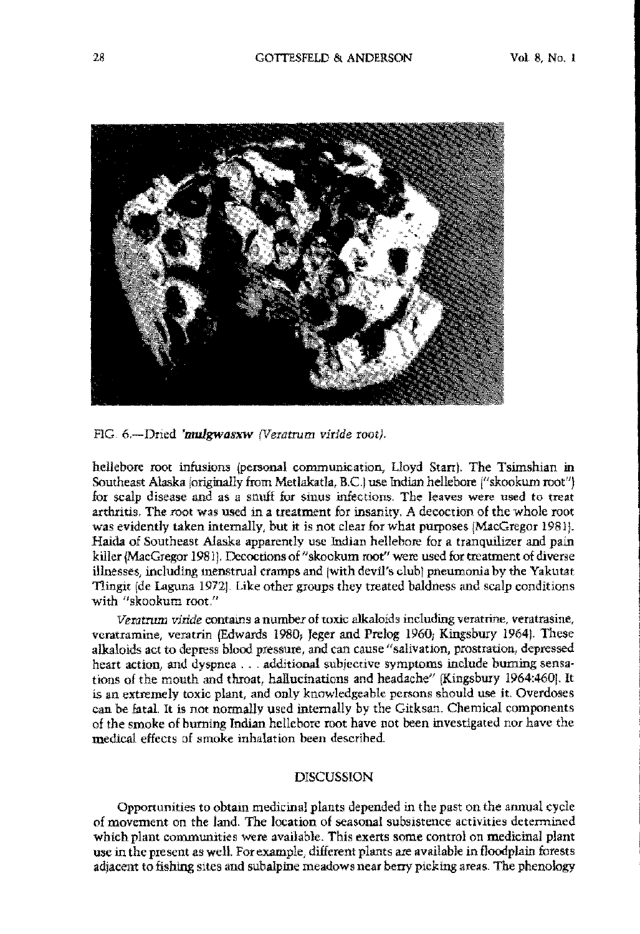

FIG 6.-Dried *'mwgwasxw (Veratrum viride root).*

hellebore root infusions (personal communication, Lloyd Starr). The Tsimshian in Southeast Alaska [originaJJy from Metlakatla, B.CI use Indian hellebore ["skookum root") for scalp disease and as a snuff for sinus infections. The leaves were used to treat arthritis. The root was used in a treatment for insanity. A decoction of the whole root was evidently taken internally, but it is not clear for what purposes (MacGregor 19811. Haida of Southeast Alaska apparently use Indian hellehore for a tranquilizer and pain killer (MacGregor 1981). Decoctions of "skookum root" were used for treatment of diverse illnesses, including menstrual cramps and [with devil's club] pneumonia by the Yakutat TIingit (de Laguna 1972J. Like other groups they treated baldness and scalp conditions **with ftskookum root,"**

*Veratnrm viride* **contains anumber of toxic alkaloids including veratrine, veratrasine,** veratramine, veratrin (Edwards 1980, Jeger and Prelog 1960; Kingsbury 1964). These alkaloids act to depress blood pressure, and can cause "salivation, prostration, depressed heart action, and dyspnea . . . additional subjective symptoms include burning sensations of the mouth and throat, hallucinations and headache" (Kingsbury 1964:460J. **It** is an extremely toxic plant, and only knowledgeable persons should use it. Overdoses can be fatal. It is not normally used internally by the Gitksan. Chemical components of the smoke of burning **Indian** hellebore root have not been investigated nor have the medical effects of smoke inhalation been described.

### DISCUSSION

Opportunities to obtain medicinal plants depended in the past on the annual cycle of movement on the land. The location of seasonal subsistence activities determined which plant communities were available. This exerts some control on medicinal plant use in the present as well. Forexample, different plants are available in floodplain forests adjacent to fishing sites and subalpine meadows near berry picking areas. The phenology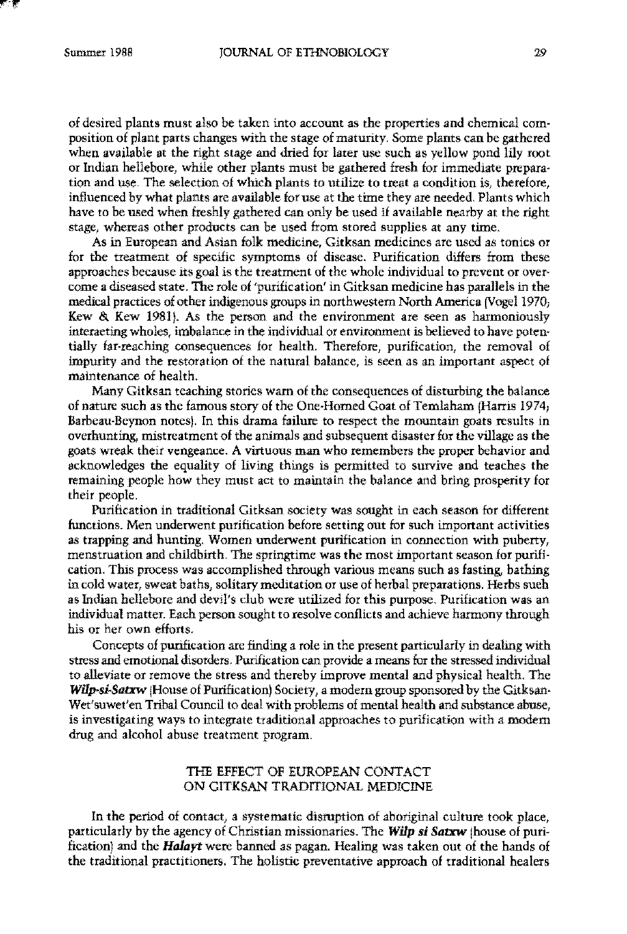of desired plants must also be taken into account as the properties and chemical composition of plant parts changes with the stage of maturity. Some plants can be gathered when available at the right stage and dried for later use such as yellow pond lily root or Indian hellebore, while other plants must be gathered fresh for immediate preparation and use. The selectinn of which plants to utilize to treat a condition is, therefore, influenced by what plants are available for use at the time they are needed. Plants which have to be used when freshly gathered can only be used if available nearby at the right stage, whereas other products can be used from stored supplies at any time.

**As in European and Asian folk medicine, Gitksan medicines are used as tonics or** for the treatment of specific symptoms of disease. Purification differs from these approaches because its goal is the treatment of the whole individual to prevent or overcome a diseased state. The role of 'purification' in Gitksan medicine has parallels in the medical practices of other indigenous groups in northwestern North America (Vogel 1970; Kew & Kew 1981l. As the person and the environment are seen as harmoniously interaeting wholes, imbalance in the individual or environment is believed to have potentially far-reaching consequences for health. Therefore, purification, the removal of impurity and the restoration of the natural balance, is scen as an important aspect of maintenance of health.

Many Gitksan teaching stories warn of the consequences of disturbing the balance of nature such as the famous story of the One-Horned Goat of Temlaham (Harris 1974; Barheau-Beynon notesl. In this drama failure to respect the mountain goats results in overhunting, mistreatment of the animals and suhsequent disaster for the village as the goats wreak their vengeance. A virtuous man who remembers the proper behavior and acknowledges the equality of living things is permitted to survive and teaches the remaining people how they must act to maintain the balance and bring prosperity for their people.

Purification in traditional Gitksan society was sought in each season for different functions. Men underwent purification hefore setting out for such important activities as trapping and hunting. Women underwent purification in connection with puberty, menstruation and childbirth. The springtime was the most important season for purification. This process was accomplished through various means such as fasting, bathing in cold water, sweat baths, solitary meditation or use of herbal preparations. Herbs such as Indian hellebore and devil's club were utilized for this purpose. Purification was an individual matter. Each person sought to resolve conflicts and achieve harmony through his or her own efforts.

Concepts of purification are finding a role in the present particnlarly in dealing with stress and emotional disorders. Purification can provide a means for the stressed individual to alleviate or remove the stress and thereby improve mental and physical health. The *Wilp-si-Satxw* (House of Purification) Society, a modern group sponsored by the Gitksan-Wet'suwet'en Tribal Council to deal with problems of mental health and substance abuse, is investigating ways to integrate traditional approaches to purification with a modem drug and alcohol abuse treatment program.

# THE EFFECT OF EUROPEAN CONTACT ON GITKSAN TRADITIONAL MEDICINE

In the period of contact, a systematic disntption of ahoriginal culture took place, particularly by the agency of Christian missionaries. The *Wi/p si Satxw* lhouse of purification) and the *HaJayt* were banned as pagan\_ Healing was taken out of the hands of the traditional practitioners. The holistic preventative approach of traditional healers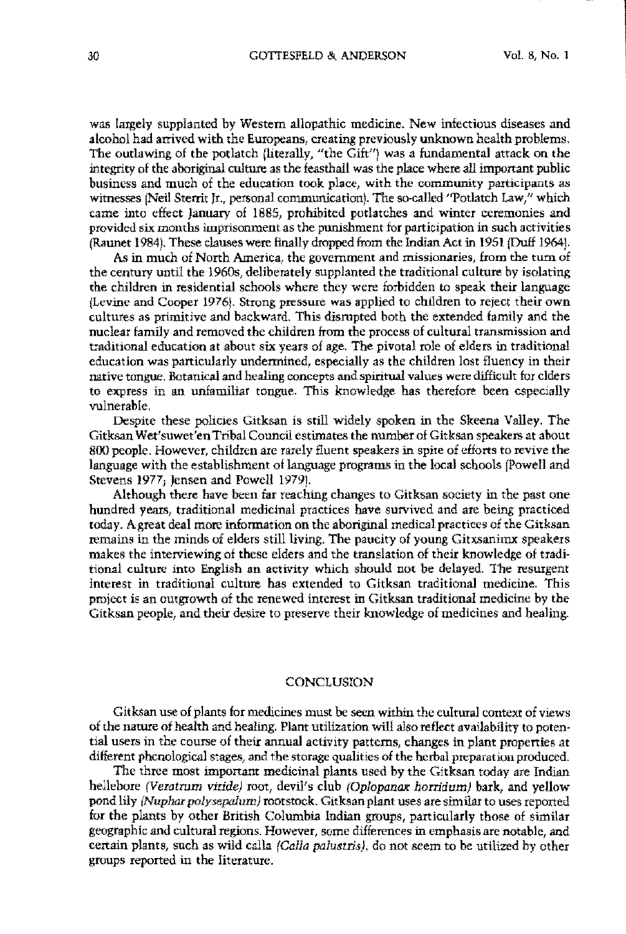was largely supplanted by Western allopathic medicine. New infectious diseases and alcohol had arrived with the Europeans, creating previously unknown health problems. The outlawing of the potlatch (literally, "the Gift") was a fundamental attack on the integrity of the aboriginal culture as the feasthall was the place where all important public **business and much of the education took place, with the community participants as** witnesses INeil Sterrit Jr., personal communicationl. The so·called "Potlatch Law," which carne into effect January of 1885, prohibited potlatches and winter ceremonies and **provided six months imprisonment as the punishment for participation in such activities** (Raunet 1984). These elanses were finally dropped from the Indiao Act In 1951 (Duff 19641.

**As in much of North America, the government and missionarie-s, from the tum of** the century until the 19605, deliberately supplaoted the traditional culture by isolating the children in residential schools where they were forbidden to speak their language (Levine and Cooper 1976). Strong pressure was applied to children to reject their own cultures as primitive and backward. This disrupted both the extended family and the nuclear family and removed the children from the process of cultural transmission and traditional education at about six years of age. The pivotal role of elders in traditional education was particularly undermined, especially as the children lost fluency in their native tongue. Botanical and healing concepts and spiritual values were difficult for clders to express in an unfamiliar tongue. This knowledge has therefore been cspecially vulnerable.

Despite these policies Gitksan is still widely spoken in the Skcena Valley. The GitksanWet'suwet'en Tribal Council estimates the number of Gitksao speakers at about 800 people. However, children are rarely fluent speakers in spite of efforts to revive the language with the establishment of language programs in the local schools [powell and Stevens 1977; Jensen and Powell 1979).

Although there have been far reaching changes to Gitksan society in the past one hundred years, traditional medicinal practices have survived and are being practiced today. Agreat deal more information on the ahoriginal medical practices of the Gitksan remains in the minds of elders still living. The paucity of young Gitxsanimx speakers makes the interviewing of these elders and the translation of their knowledge of traditional culture into English an activity which should not be delayed. The resurgent interest in traditional culture has extended to Gitksan traditional medicine. This project is an outgrowth of the renewed interest in Gitksan traditional medicine by the Gitksan people, and their desire to preserve their knowledge of medicines and healing.

#### CONCLUSION

Gitksan use of plants for medicines must be seen within the cultural context of views of the nature of health and healing. Plant utilization will also reflect availabiliry to potential users in the course of their annual activity patterns, changes in plant properties at different phenological stages, and the storage qualities of the herbal preparation produced.

The three most important medicinal plants used by the Gitksan today are Indian hellebore (Veratrum *viride)* root, devil's club *(Oplopanax horridum)* bark, and yellow pond lily *(Nuphar polysepolum)* rootstock. Gitksan plant uses are similar to uses reponed for the plants by other British Columbia Indian groups, particularly those of similar geographic and cultural regions. However, some differences in emphasis are notable, and certain plants, such as wild calla *(Calla palustris)*, do not seem to be utilized by other groups reported in the literature.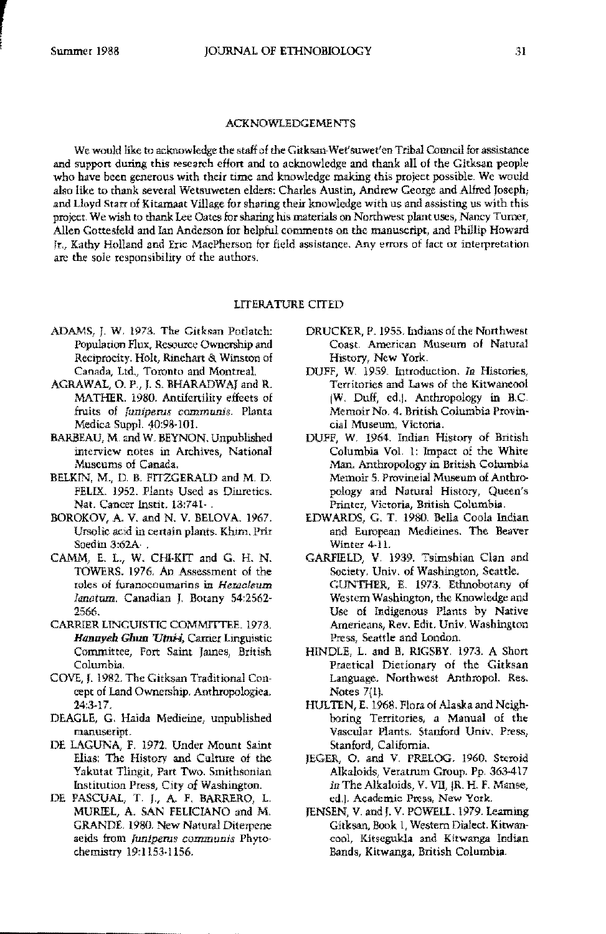#### **ACKNOWLEDGEMENTS**

We would like to acknowledge the staff of the Gitksan-Wet'suwet'en Tribal Council for assistance and support during this research effort and to acknowledge and thank all of the Gitksan people who have been generous with their time and knowledge making this project possible. We would also like to thank several Wetsuweten elders: Charles Austin, Andrew George and Alfred Joseph, and Lloyd Starr of Kitamaat Village for sharing their knowledge with us and assisting us with this project. We wish to thank Lee Oates for sharing his materials on Northwest plant uses, Nancy Turner, Allen Gottesfeld and Ian Anderson for helpful comments on the manuscript, and Phillip Howard It., Kathy Holland and Eric MacPherson for field assistance. Any errors of fact or interpretation are the sole responsibility of the authors.

## LITERATURE CITED

- ADAMS, J. W. 1973. The Gitksan Potlatch: Population Flux, Resource Ownership and Reciprocity. Holt, Rinehart & Winston of Canada, Ltd., Toronto and Montreal.
- AGRAWAL, O. P., J. S. BHARADWAJ and R. MATHER. 1980. Antifertility effects of fruits of funiperus communis. Planta Medica Suppl. 40:98-101.
- BARBEAU, M. and W. BEYNON. Unpublished interview notes in Archives, National Museums of Canada.
- BELKIN, M., D. B. FITZGERALD and M. D. FELIX. 1952. Plants Used as Diuretics. Nat. Cancer Instit. 13:741-.
- BOROKOV, A. V. and N. V. BELOVA. 1967. Ursolic acid in certain plants. Khim, Prir Soedin  $3:62A$ .
- CAMM, E. L., W. CHI-KIT and G. H. N. TOWERS, 1976. An Assessment of the roles of furanocoumarins in Heracleum Janatum. Canadian J. Botany 54:2562-2566.
- CARRIER LINGUISTIC COMMITTEE. 1973. Hanuyeh Ghun 'Umi-i, Carrier Linguistic Committee, Fort Saint James, British Columbia.
- COVE, J. 1982. The Gitksan Traditional Concept of Land Ownership. Anthropologiea. 24:3-17.
- DEAGLE, G. Haida Medieine, unpublished manuseript.
- DE LAGUNA, F. 1972, Under Mount Saint Elias: The History and Culture of the Yakutat Tlingit, Part Two. Smithsonian Institution Press, City of Washington.
- DE PASCUAL, T. J., A. F. BARRERO, L. MURIEL, A. SAN FELICIANO and M. GRANDE. 1980. New Natural Diterpene aeids from Juniperus communis Phytochemistry 19:1153-1156.
- DRUCKER, P. 1955. Indians of the Northwest Coast. American Museum of Natural History, New York.
- DUFF, W. 1959. Introduction. In Histories. Territories and Laws of the Kitwaneool (W. Duff, ed.). Anthropology in B.C. Memoir No. 4. British Columbia Provincial Museum, Victoria.
- DUFF, W. 1964. Indian History of British Columbia Vol. 1: Impact of the White Man. Anthropology in British Columbia Memoir 5. Provincial Museum of Anthropology and Natural History, Queen's Printer, Victoria, British Columbia.
- EDWARDS, G. T. 1980. Bella Coola Indian and European Medieines. The Beaver Winter 4-11.
- GARFIELD, V. 1939. Tsimshian Clan and Society. Univ. of Washington, Seattle. GUNTHER, E. 1973. Ethnobotany of Western Washington, the Knowledge and Use of Indigenous Plants by Native Americans, Rev. Edit. Univ. Washington Press, Seattle and London.
- HINDLE, L. and B. RIGSBY, 1973. A Short Praetical Dietionary of the Gitksan Language. Northwest Anthropol. Res. Notes 7(1).
- HULTEN, E. 1968. Flora of Alaska and Neighboring Territories, a Manual of the Vascular Plants. Stanford Univ. Press, Stanford, California.
- JEGER, O. and V. PRELOG. 1960. Steroid Alkaloids, Veratrum Group. Pp. 363-417 in The Alkaloids, V. VII, JR. H. F. Manse, ed.]. Academic Press, New York.
- JENSEN, V. and J. V. POWELL. 1979. Learning Gitksan, Book 1, Western Dialect. Kitwancool, Kitsegukla and Kitwanga Indian Bands, Kitwanga, British Columbia.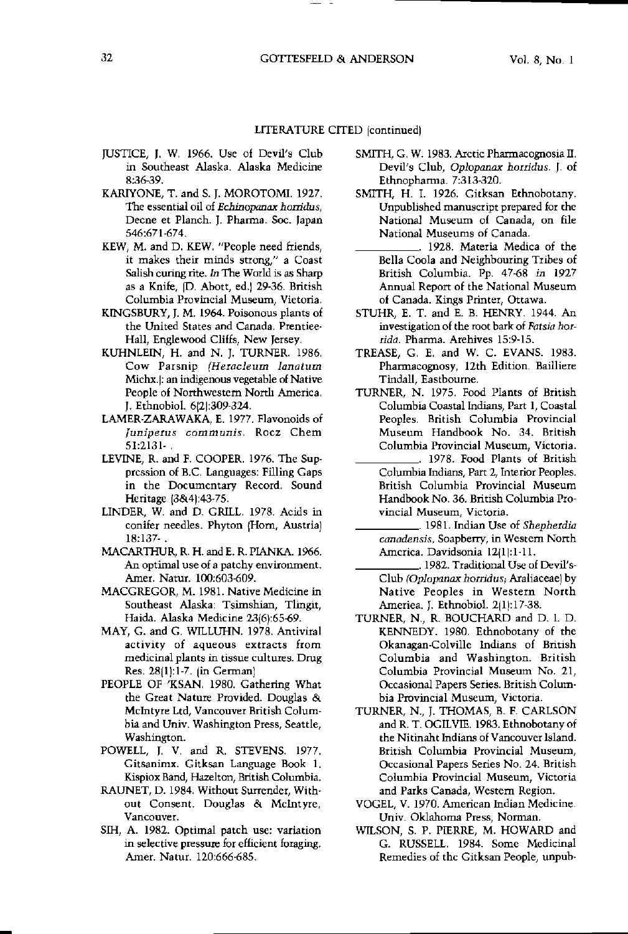#### LITERATURE CITED (continued)

- JUSTICE, J. W. 1966. Use of Devil's Club in Southeast Alaska. Alaska Medicine 8:36-39.
- KARIYONE, T. and S. J. MOROTOMI. 1927. The essential oil of *Ecmnopanax horridus,* Decne et Planch. J. Pharma. Soc. Japan 546:671·674.
- KEW, M. and D. KEW. "People need friends, it makes their minds strong," a Coast Salish curing rite. In The World is as Sharp as a Knife, ID. Abott, ed.1 29-36. British Columbia Provincial Museum, Vietoria.
- KINGSBURY, J. M. 1964. Poisonous plants of the United States and Canada. Prentiee· Hall, Englewood Cliffs, New Jersey.
- KUHNLEIN, H. and N. J. TURNER. 1986. Cow Parsnip *(Herac1eum lana tum* Michx.J: an indigenous vegetable of Native People of Northwestern North America. J. Ethnobiol. 6(2):309-324.
- LAMER-ZARAWAKA, E. 1977. Flavonoids of *Juniperus communis.* Rocz Chern 51:2131- .
- LEVINE, R. and F. COOPER. 1976. The Sup· pression of B.c. Languages: Filling Gaps in the Documentary Record. Sound Heritage (3&4):43-75.
- LINDER, W. and D. GRILL. 1978. Acids in conifer needles. Phyton (Horn, Austria) 18:137- .
- MACARTHUR, R. H. and E. R. PIANKA. 1966. An optimal use of a patchy environment. Amer. Natur. 100:603-609.
- MACGREGOR, M. 1981. Native Medicine in Southeast Alaska: Tsimshian, Tlingit, Haida. Alaska Medicine 23(6):65-69.
- MAY, G. and G. WILLUHN. 1978. Antiviral activity of aqueous extracts from medicinal plants in tissue cultures. Drug Res. 28(1):1-7. (in German)
- PEOPLE OF 'KSAN. 1980. Gathering What the Great Nature Provided. Douglas & McIntyre Ltd, Vancouver British Columbia and Univ. Washington Press, Seattle, Washington.
- POWELL, J. V. and R. STEVENS. 1977. Gitsanimx. Gitksan Language Book 1. Kispiox Band, Hazelton, British Columbia.
- RAUNET, D. 1984. Without Surrender, Without Consent. Douglas & McIntyre, Vancouver.
- SIH, A. 1982. Optimal patch use: variation in selective pressure for efficient foraging. Amer. Natur. 120:666-685.

**-**

- SMITH, G. W. 1983. Arctic Pharmacognosia II. Devil's Club, *Oplopanax horridus.* J. of Ethnopharma. 7:313-320.
- SMITH, H. I. 1926. Gitksan Ethnobotany. Unpublished manuscript prepared for the National Museum of Canada, on file National Museums of Canada.
- 1928. Materia Medica of the Bella Coola and Neighbouring Tribes of British Columbia. Pp. 47-68 *in 1927* Annual Repon of the National Museum of Canada. Kings Printer, Ottawa.
- STUHR, E. T. and E. B. HENRY. 1944. An investigation of the root bark of *Fatsia hor*rida. Pharma. Arehives 15:9-15.
- TREASE, G. E. and W. C. EVANS. 1983. Pharmacognosy, 12th Edition. Bailliere Tindall, Eastbourne.
- TURNER, N. 1975. Food Plants of British Columbia Coastal Indians, Part I, Coastal Peoples. British Columbia Provincial Museum Handbook No. 34. British Columbia Provincial Museum, Victoria.
	- 1978. Food Plants of British Columbia Indians, Pan 2, Interior Peoples. British Columbia Provincial Museum Handbook No. 36. British Columbia Provincial Museum, Victoria.
	- \_\_\_\_\_. 1981. Indian Use of *Shepherdia canadensis*, Soapberry, in Western North America. Davidsoma 12(1]:1-11.
- \_\_\_\_\_. 1982. Traditional Use of Devil's-Club *(Oplopanax horridus;* Araliaceae) by Native Peoples in Western North Ameriea. J. Ethnobiol. 2(1):17-38.
- TURNER, N., R. BOUCHARD and D. I. D. KENNEDY. 1980. Ethnobotany of the Okanagan-Colville Indians of British Columbia and Washington. British Columbia Provincial Museum No. 21, Occasional Papers Series. British Columbia Provincial Museum, Victoria.
- TURNER, N., J. THOMAS, B. F. CARLSON and R. T. OGILVIE. 1983. Ethnobotany of the Nitinaht Indians of Vancouver Island. British Columbia Provincial Museum, Occasional Papers Series No. 24. British Columbia Provincial Museum, Victoria and Parks Canada, Western Region.
- VOGEL, V. 1970. American Indian Medicine. Univ. Oklahoma Press, Norman.
- WILSON, S. P. PIERRE, M. HOWARD and G. RUSSELL. 1984. Some Medicinal Remedies of thc Gitksan People, unpub-